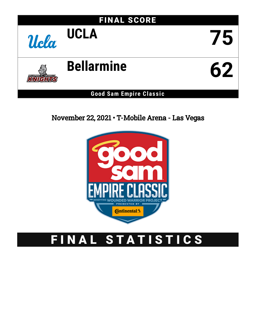

November 22, 2021 • T-Mobile Arena - Las Vegas



# FINAL STATISTICS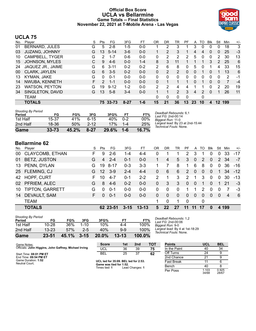### **Official Box Score UCLA vs Bellarmine Game Totals -- Final Statistics November 22, 2021 at T-Mobile Arena - Las Vegas**



## **UCLA 75**

| No. | Plaver                | S  | <b>Pts</b>    | FG       | 3FG      | FT      | 0R            | DR       | TR             | PF | A  | TO | <b>B</b> lk | Stl | Min            | $+/-$ |
|-----|-----------------------|----|---------------|----------|----------|---------|---------------|----------|----------------|----|----|----|-------------|-----|----------------|-------|
| 01  | <b>BERNARD, JULES</b> | G  | 5             | $2 - 8$  | $1-5$    | $0 - 0$ |               | 2        | 3              |    | 3  | 0  |             | 0   | 18             | 3     |
| 03  | JUZANG, JOHNNY        | G  | 13            | $5 - 14$ | $3-6$    | $0-0$   |               | 2        | 3              |    | 4  | 4  | 0           | 0   | 25             | $-3$  |
| 10  | CAMPBELL, TYGER       | G  | 2             | 1-7      | $0 - 6$  | $0 - 0$ | 0             | 2        | $\overline{2}$ | 2  | 5  | 0  | 0           | 2   | 30             | 13    |
| 15  | <b>JOHNSON, MYLES</b> | С  | 9             | $4-6$    | $0 - 0$  | $1 - 4$ | 8             | 3        | 11             |    |    |    | 3           | 2   | 25             | 6     |
| 24  | JAQUEZ JR., JAIME     | G  | 6             | $3 - 11$ | $0 - 2$  | $0 - 2$ | 2             | 6        | 8              | 0  | 5  | 0  |             | 4   | 33             | 15    |
| 00  | CLARK, JAYLEN         | G  | 6             | $3 - 5$  | $0 - 2$  | $0 - 0$ | 0             | 2        | $\overline{2}$ | 0  | 0  |    | $\Omega$    |     | 13             | 6     |
| 13  | KYMAN, JAKE           | G  | $\Omega$      | $0 - 1$  | $0 - 0$  | $0 - 0$ | 0             | $\Omega$ | $\Omega$       | 0  | 0  | 0  | $\Omega$    | 0   | 2              | -1    |
| 14  | NWUBA, KENNETH        | F. | $\mathcal{P}$ | $1 - 1$  | $0 - 0$  | $0 - 0$ | 0             | 1        |                |    | 0  |    | 0           | 0   | $\overline{7}$ | $-4$  |
| 23  | <b>WATSON, PEYTON</b> | G  | 19            | $9 - 12$ | $1 - 2$  | $0 - 0$ | $\mathcal{P}$ | 2        | 4              | 4  |    |    |             | 2   | 20             | 19    |
| 34  | SINGLETON, DAVID      | G  | 13            | $5 - 8$  | $3-4$    | $0 - 0$ |               | 1        | $\overline{2}$ | 3  | 4  | 2  | $\Omega$    |     | 26             | 11    |
|     | TEAM                  |    |               |          |          |         | 0             | 0        | $\Omega$       | 0  |    | 0  |             |     |                |       |
|     | TOTALS                |    |               | 75 33-73 | $8 - 27$ | $1 - 6$ | 15            | 21       | 36             | 13 | 23 | 10 | 4           | 12  | 199            |       |

| 2nd Half<br>Game                    | 18-36<br>$33 - 73$ | 50%<br>45.2% | $2 - 12$<br>$8 - 27$ | 17%<br>29.6% | $1 - 4$<br>$1 - 6$ | 25%<br>16.7% |
|-------------------------------------|--------------------|--------------|----------------------|--------------|--------------------|--------------|
| 1st Half                            | 15-37              | 41%          | հ-15                 | 40%          | 0-2                | 00%          |
| <b>Shooting By Period</b><br>Period | FG                 | FG%          | 3FG                  | 3FG%         | FТ                 | FT%          |

*Deadball Rebounds:* 6,1 *Last FG:* 2nd-00:14 *Biggest Run:* 11-0 *Largest lead:* By 23 at 2nd-15:44 *Technical Fouls:* None.

# **Bellarmine 62**

| No. | Player                 | S  | Pts      | FG       | 3FG      | FТ        | OR       | DR       | TR       | PF       | A              | TO       | Blk      | Stl          | Min            | $+/-$ |
|-----|------------------------|----|----------|----------|----------|-----------|----------|----------|----------|----------|----------------|----------|----------|--------------|----------------|-------|
| 00  | <b>CLAYCOMB, ETHAN</b> | F  | 9        | $2-6$    | 1-4      | $4 - 4$   | 0        |          |          | 2        | 3              |          | 0        | 0            | 33             | -17   |
| 01  | BETZ, JUSTON           | G  | 4        | $2 - 4$  | $0 - 1$  | $0 - 0$   |          | 4        | 5        | 3        | $\Omega$       | 2        | $\Omega$ | 2            | 34             | $-7$  |
| 13  | PENN, DYLAN            | G  | 19       | $8 - 17$ | $0 - 3$  | $3 - 3$   |          | 7        | 8        | 1        | 6              | 8        | $\Omega$ | $\mathbf{0}$ | 36             | -16   |
|     | 25 FLEMING, CJ         | G. | $12 \,$  | $3-9$    | $2 - 4$  | $4 - 4$   | 0        | 6        | 6        | 2        | $\overline{0}$ | $\Omega$ | $\Omega$ | 1            | 34             | $-12$ |
| 42  | <b>HOPF, CURT</b>      | F. | 10       | $4 - 7$  | $0 - 1$  | $2 - 2$   | 2        |          | 3        | 2        | 1              | 3        | $\Omega$ | $\Omega$     | 30             | $-13$ |
| 02  | PFRIEM, ALEC           | G  | 8        | $4-6$    | $0 - 2$  | $0 - 0$   | $\Omega$ | 3        | 3        | $\Omega$ | $\Omega$       | 1        | $\Omega$ | 1            | 21             | $-3$  |
| 10  | <b>TIPTON, GARRETT</b> | G  | $\Omega$ | $0 - 1$  | $0-0$    | $0 - 0$   | 0        | $\Omega$ | $\Omega$ |          |                | 2        | $\Omega$ | 0            |                | -3    |
| 14  | <b>DEVAULT, SAM</b>    | F  | $\Omega$ | $0 - 1$  | $0 - 0$  | $0 - 0$   | $\Omega$ | $\Omega$ | $\Omega$ | $\Omega$ | $\Omega$       | $\Omega$ | $\Omega$ | $\Omega$     | $\overline{4}$ | - 6   |
|     | <b>TEAM</b>            |    |          |          |          |           | 1        | $\Omega$ |          | 0        |                | 0        |          |              |                |       |
|     | <b>TOTALS</b>          |    |          | 62 23-51 | $3 - 15$ | $13 - 13$ | 5        | 22       | 27       | -11      | 11             | 17       | O        |              | 4 199          |       |

| Game                                | 23-51     | 45.1% | $3 - 15$ | $20.0\%$ | $13 - 13$ | $100.0\%$ |
|-------------------------------------|-----------|-------|----------|----------|-----------|-----------|
| 2nd Half                            | $13 - 23$ | 57%   | $2-5$    | 40%      | 9-9       | 100%      |
| 1st Half                            | 10-28     | 36%   | $1 - 10$ | 10%      | 4-4       | 100%      |
| <b>Shooting By Period</b><br>Period | FG        | FG%   | 3FG      | 3FG%     | FТ        | FT%       |

*Deadball Rebounds:* 1,2 *Last FG:* 2nd-00:06 *Biggest Run:* 9-0 *Largest lead:* By 4 at 1st-18:29 *Technical Fouls:* None.

| Game Notes:                                           | <b>Score</b>                         | 1st | 2nd | тот | <b>Points</b> | <b>UCL</b> | <b>BEL</b> |
|-------------------------------------------------------|--------------------------------------|-----|-----|-----|---------------|------------|------------|
| Officials: John Higgins, John Gaffney, Michael Irving | UCL                                  | 36  | 39  | 75  | In the Paint  | 40         | 34         |
| Start Time: 08:01 PM ET                               | <b>BEL</b>                           | 25  | 37  | 62  | Off Turns     | 24         |            |
| End Time: 09:54 PM ET                                 |                                      |     |     |     | 2nd Chance    | ີ          |            |
| Game Duration: 1:52<br>Neutral Court:                 | UCL led for 35:09. BEL led for 2:53. |     |     |     | Fast Break    |            |            |
|                                                       | Game was tied for 1:52               |     |     |     |               | $-$        |            |

**Game was tie**<br>**Times tied: 1** Lead Changes: 1

 $\overline{\phantom{a}}$ Bench 40 8 34/68 Per Poss 0.925 28/67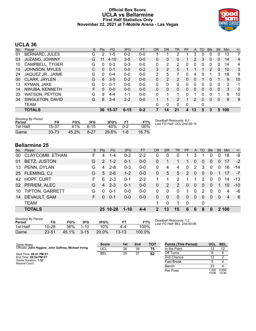#### **Official Box Score UCLA vs Bellarmine First Half Statistics Only November 22, 2021 at T-Mobile Arena - Las Vegas**



# **UCLA 36**

| No. | Plaver                | S  | <b>Pts</b> | <b>FG</b> | 3FG      | <b>FT</b> | <b>OR</b> | DR       | TR            | <b>PF</b> | A  | TO       | <b>B</b> lk | Stl          | Min | $+/-$ |
|-----|-----------------------|----|------------|-----------|----------|-----------|-----------|----------|---------------|-----------|----|----------|-------------|--------------|-----|-------|
| 01  | <b>BERNARD, JULES</b> | G  | 2          | $1 - 5$   | $0 - 2$  | $0 - 0$   |           |          | 2             |           | 3  | 0        |             | 0            | 13  |       |
| 03  | <b>JUZANG, JOHNNY</b> | G  | 11         | $4 - 10$  | $3 - 5$  | $0 - 0$   | 0         | $\Omega$ | 0             |           | 2  | 3        | 0           | 0            | 14  | 4     |
| 10  | CAMPBELL, TYGER       | G  | 0          | $0 - 3$   | $0 - 3$  | $0 - 0$   | 0         | 2        | 2             | 0         | 0  | 0        | 0           | 0            | 14  | 4     |
| 15  | <b>JOHNSON, MYLES</b> | С  | $\Omega$   | $0 - 1$   | $0 - 0$  | $0 - 2$   | 3         | 2        | 5             |           |    |          | 2           | $\mathbf{0}$ | 10  | 3     |
| 24  | JAQUEZ JR., JAIME     | G  | 0          | $0 - 4$   | $0 - 0$  | $0 - 0$   | 2         | 5        | 7             | 0         | 4  | 0        |             | 3            | 18  | 9     |
| 00  | CLARK, JAYLEN         | G  | 6          | $3 - 5$   | $0 - 2$  | $0 - 0$   | 0         | 2        | 2             | 0         | 0  |          | 0           |              | 9   | 10    |
| 13  | KYMAN, JAKE           | G  | 0          | $0 - 1$   | $0 - 0$  | $0 - 0$   | 0         | 0        | 0             | 0         | 0  | 0        | 0           | 0            | 2   | -1    |
| 14  | NWUBA, KENNETH        | F. | 0          | $0 - 0$   | $0 - 0$  | $0 - 0$   | 0         | 0        | 0             | 0         | 0  | $\Omega$ | 0           | $\Omega$     | 3   | 0     |
| 23  | <b>WATSON, PEYTON</b> | G  | 9          | $4 - 4$   | $1 - 1$  | $0 - 0$   | 0         | 1        | 1             | 0         |    | 0        | 0           | 1            | 9   | 10    |
| 34  | SINGLETON, DAVID      | G  | 8          | $3 - 4$   | $2 - 2$  | $0 - 0$   |           | 1        | $\mathcal{P}$ |           | 2  | 0        | 0           | 0            | 9   | 9     |
|     | <b>TEAM</b>           |    |            |           |          |           | 0         | 0        | 0             | 0         |    | 0        |             |              |     |       |
|     | <b>TOTALS</b>         |    |            | 36 15-37  | $6 - 15$ | $0 - 2$   |           | 14       | 21            | 4         | 13 | 5        | 3           | 5.           | 100 |       |
|     |                       |    |            |           |          |           |           |          |               |           |    |          |             |              |     |       |

| Shooting By Period<br>Period | FG        | FG%   | 3FG      | 3FG%  | FТ      | FT%   | Deadball Rebounds: 6,1<br>Last FG Half: UCL 2nd-00:14 |
|------------------------------|-----------|-------|----------|-------|---------|-------|-------------------------------------------------------|
| 1st Half                     | 15-37     | 41%   | 6-15     | 40%   | $0 - 2$ | 00%   |                                                       |
| Game                         | $33 - 73$ | 45.2% | $8 - 27$ | 29.6% | $1 - 6$ | 16.7% |                                                       |

# **Bellarmine 25**

| No. | Player                 | S  | <b>Pts</b>     | FG.      | 3FG      | FT      | <b>OR</b>     | <b>DR</b> | TR           | <b>PF</b>    | A              | <b>TO</b>      | <b>BIK</b> | Stl      | Min   | $+/-$     |
|-----|------------------------|----|----------------|----------|----------|---------|---------------|-----------|--------------|--------------|----------------|----------------|------------|----------|-------|-----------|
| 00  | <b>CLAYCOMB, ETHAN</b> | F. | 4              | 1-4      | $0 - 2$  | $2 - 2$ | 0             | 0         | 0            |              | 3              |                |            | 0        | 18    | -9        |
| 01  | BETZ, JUSTON           | G  | $\overline{2}$ | $1 - 2$  | $0 - 1$  | $0-0$   | 0             |           |              | 1            | $\Omega$       | $\Omega$       | $\Omega$   | $\Omega$ | 17    | $-2$      |
| 13  | PENN, DYLAN            | G  | 4              | $2 - 8$  | $0 - 3$  | $0-0$   | $\Omega$      | 4         | 4            | $\Omega$     | 2              | 3              | $\Omega$   | $\Omega$ | 16    | $-14$     |
|     | 25 FLEMING, CJ         | G  | 5              | $2 - 6$  | $1 - 2$  | $0-0$   | 0             | 5         | 5            | 2            | $\overline{0}$ | $\overline{0}$ | $\Omega$   |          | 17    | -7        |
|     | 42 HOPF, CURT          | F  | 6              | $2 - 3$  | $0 - 1$  | $2 - 2$ |               | 1         | 2            | 1            |                | 2              | $\Omega$   | $\Omega$ | 14    | $-13$     |
| 02  | PFRIEM, ALEC           | G  | 4              | $2 - 3$  | $0 - 1$  | $0-0$   | 0             | 2         | 2            | $\Omega$     | $\Omega$       | 0              | $\Omega$   |          | 10    | $-10^{-}$ |
| 10  | <b>TIPTON, GARRETT</b> | G  | 0              | $0 - 1$  | $0 - 0$  | $0-0$   | 0             | 0         | 0            | 1            | $\Omega$       | 2              | 0          | 0        | 4     | -6        |
| 14  | DEVAULT, SAM           | F. | $\Omega$       | $0 - 1$  | $0 - 0$  | $0-0$   | 0             | $\Omega$  | $\mathbf{0}$ | $\mathbf{0}$ | $\mathbf{0}$   | $\Omega$       | $\Omega$   | 0        | 4     | - 6       |
|     | <b>TEAM</b>            |    |                |          |          |         | 1.            | 0         |              | $\mathbf 0$  |                | 0              |            |          |       |           |
|     | <b>TOTALS</b>          |    |                | 25 10-28 | $1 - 10$ | $4 - 4$ | $\mathcal{P}$ | 13        | 15           | 6            | 6              | 8              | $\Omega$   |          | 2 100 |           |

| <b>Shooting By Period</b> |           |       |          |       |           |        |
|---------------------------|-----------|-------|----------|-------|-----------|--------|
| Period                    | FG        | FG%   | 3FG      | 3FG%  |           | FT%    |
| 1st Half                  | 10-28     | 36%   | $1 - 10$ | 10%   | 4-4       | 100%   |
| Game                      | $23 - 51$ | 45.1% | $3 - 15$ | 20.0% | $13 - 13$ | 100.0% |

*Deadball Rebounds:* 1,2 *Last FG Half:* BEL 2nd-00:06

| Game Notes:                                           | <b>Score</b> | 1st | 2nd | тот | <b>Points (This Period)</b> | <b>UCL</b>    | <b>BEL</b>     |
|-------------------------------------------------------|--------------|-----|-----|-----|-----------------------------|---------------|----------------|
| Officials: John Higgins, John Gaffney, Michael Irving | <b>UCL</b>   | 36  | 39  | 75  | In the Paint                | 12            |                |
| Start Time: 08:01 PM ET                               | <b>BEL</b>   | 25  | 37  | 62  | Off Turns                   |               |                |
| End Time: 09:54 PM ET                                 |              |     |     |     | 2nd Chance                  |               |                |
| Game Duration: 1:52<br>Neutral Court:                 |              |     |     |     | <b>Fast Break</b>           |               |                |
|                                                       |              |     |     |     | Bench                       | 23            |                |
|                                                       |              |     |     |     | Per Poss                    | .000<br>15/36 | 0.694<br>12/36 |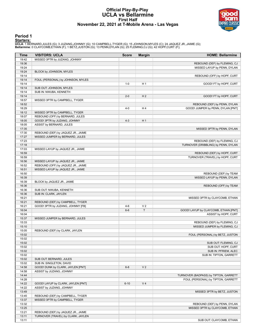#### **Official Play-By-Play UCLA vs Bellarmine First Half November 22, 2021 at T-Mobile Arena - Las Vegas**



### **Period 1**

<mark>Starters:</mark><br>UCLA: 1 BERNARD,JULES (G); 3 JUZANG,JOHNNY (G); 10 CAMPBELL,TYGER (G); 15 JOHNSON,MYLES (C); 24 JAQUEZ JR.,JAIME (G);<br>**Bellarmine**: 0 CLAYCOMB,ETHAN (F); 1 BETZ,JUSTON (G); 13 PENN,DYLAN (G); 25 FLEMING,CJ (G);

| <b>Time</b>    | <b>VISITORS: UCLA</b>                                          | <b>Score</b> | <b>Margin</b>  | <b>HOME: Bellarmine</b>                                      |
|----------------|----------------------------------------------------------------|--------------|----------------|--------------------------------------------------------------|
| 19:42          | MISSED 3PTR by JUZANG, JOHNNY                                  |              |                |                                                              |
| 19:36          |                                                                |              |                | REBOUND (DEF) by FLEMING, CJ                                 |
| 19:24          |                                                                |              |                | MISSED LAYUP by PENN, DYLAN                                  |
| 19:24          | BLOCK by JOHNSON, MYLES                                        |              |                |                                                              |
| 19:14          |                                                                |              |                | REBOUND (OFF) by HOPF, CURT                                  |
| 19:14          | FOUL (PERSONAL) by JOHNSON, MYLES                              |              |                |                                                              |
| 19:14          |                                                                | $1 - 0$      | H <sub>1</sub> | GOOD! FT by HOPF, CURT                                       |
| 19:14          | SUB OUT: JOHNSON, MYLES                                        |              |                |                                                              |
| 19:14<br>19:14 | SUB IN: NWUBA, KENNETH                                         | $2 - 0$      | H <sub>2</sub> | GOOD! FT by HOPF, CURT                                       |
| 18:57          | MISSED 3PTR by CAMPBELL, TYGER                                 |              |                |                                                              |
| 18:52          |                                                                |              |                | REBOUND (DEF) by PENN, DYLAN                                 |
| 18:29          |                                                                | $4 - 0$      | H4             | GOOD! JUMPER by PENN, DYLAN [PNT]                            |
| 18:12          | MISSED 3PTR by CAMPBELL, TYGER                                 |              |                |                                                              |
| 18:07          | REBOUND (OFF) by BERNARD, JULES                                |              |                |                                                              |
| 18:05          | GOOD! 3PTR by JUZANG, JOHNNY                                   | $4 - 3$      | H <sub>1</sub> |                                                              |
| 18:05          | ASSIST by BERNARD, JULES                                       |              |                |                                                              |
| 17:35          |                                                                |              |                | MISSED 3PTR by PENN, DYLAN                                   |
| 17:30          | REBOUND (DEF) by JAQUEZ JR., JAIME                             |              |                |                                                              |
| 17:27          | MISSED JUMPER by BERNARD, JULES                                |              |                |                                                              |
| 17:23          |                                                                |              |                | REBOUND (DEF) by FLEMING, CJ                                 |
| 17:18          |                                                                |              |                | TURNOVER (DRIBBLING) by PENN, DYLAN                          |
| 17:03          | MISSED LAYUP by JAQUEZ JR., JAIME                              |              |                |                                                              |
| 16:59          |                                                                |              |                | REBOUND (DEF) by HOPF, CURT                                  |
| 16:59<br>16:56 | MISSED LAYUP by JAQUEZ JR., JAIME                              |              |                | TURNOVER (TRAVEL) by HOPF, CURT                              |
| 16:52          | REBOUND (OFF) by JAQUEZ JR., JAIME                             |              |                |                                                              |
| 16:51          | MISSED LAYUP by JAQUEZ JR., JAIME                              |              |                |                                                              |
| 16:50          |                                                                |              |                | REBOUND (DEF) by TEAM                                        |
| 16:39          |                                                                |              |                | MISSED LAYUP by PENN, DYLAN                                  |
| 16:39          | BLOCK by JAQUEZ JR., JAIME                                     |              |                |                                                              |
| 16:36          |                                                                |              |                | REBOUND (OFF) by TEAM                                        |
| 16:36          | SUB OUT: NWUBA, KENNETH                                        |              |                |                                                              |
| 16:36          | SUB IN: CLARK, JAYLEN                                          |              |                |                                                              |
| 16:21          |                                                                |              |                | MISSED 3PTR by CLAYCOMB, ETHAN                               |
| 16:21          | REBOUND (DEF) by CAMPBELL, TYGER                               |              |                |                                                              |
| 16:21          | GOOD! 3PTR by JUZANG, JOHNNY [FB]                              | $4-6$        | V <sub>2</sub> |                                                              |
| 16:04          |                                                                | $6-6$        | $\top$         | GOOD! LAYUP by CLAYCOMB, ETHAN [PNT]                         |
| 16:04          |                                                                |              |                | ASSIST by HOPF, CURT                                         |
| 15:37<br>15:33 | MISSED JUMPER by BERNARD, JULES                                |              |                |                                                              |
| 15:10          |                                                                |              |                | REBOUND (DEF) by FLEMING, CJ<br>MISSED JUMPER by FLEMING, CJ |
| 15:05          | REBOUND (DEF) by CLARK, JAYLEN                                 |              |                |                                                              |
| 15:02          |                                                                |              |                | FOUL (PERSONAL) by BETZ, JUSTON                              |
| 15:02          |                                                                |              |                |                                                              |
| 15:02          |                                                                |              |                | SUB OUT: FLEMING, CJ                                         |
| 15:02          |                                                                |              |                | SUB OUT: HOPF, CURT                                          |
| 15:02          |                                                                |              |                | SUB IN: PFRIEM, ALEC                                         |
| 15:02          |                                                                |              |                | SUB IN: TIPTON, GARRETT                                      |
| 15:02          | SUB OUT: BERNARD, JULES                                        |              |                |                                                              |
| 15:02          | SUB IN: SINGLETON, DAVID                                       |              |                |                                                              |
| 14:58          | GOOD! DUNK by CLARK, JAYLEN [PNT]                              | $6 - 8$      | V <sub>2</sub> |                                                              |
| 14:58          | ASSIST by JUZANG, JOHNNY                                       |              |                |                                                              |
| 14:44          |                                                                |              |                | TURNOVER (BADPASS) by TIPTON, GARRETT                        |
| 14:28          |                                                                |              |                | FOUL (PERSONAL) by TIPTON, GARRETT                           |
| 14:22          | GOOD! LAYUP by CLARK, JAYLEN [PNT]<br>ASSIST by JUZANG, JOHNNY | $6 - 10$     | V <sub>4</sub> |                                                              |
| 14:22<br>13:49 |                                                                |              |                | MISSED 3PTR by BETZ, JUSTON                                  |
| 13:45          | REBOUND (DEF) by CAMPBELL, TYGER                               |              |                |                                                              |
| 13:37          | MISSED 3PTR by CAMPBELL, TYGER                                 |              |                |                                                              |
| 13:32          |                                                                |              |                | REBOUND (DEF) by PENN, DYLAN                                 |
| 13:25          |                                                                |              |                | MISSED 3PTR by CLAYCOMB, ETHAN                               |
| 13:21          | REBOUND (DEF) by JAQUEZ JR., JAIME                             |              |                |                                                              |
| 13:11          | TURNOVER (TRAVEL) by CLARK, JAYLEN                             |              |                |                                                              |
| 13:11          |                                                                |              |                | SUB OUT: CLAYCOMB, ETHAN                                     |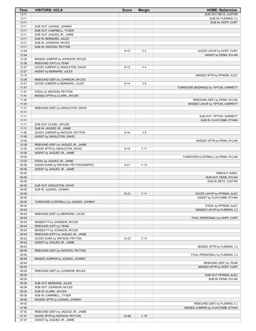| Time           | <b>VISITORS: UCLA</b>                 | <b>Score</b> | <b>Margin</b>   | <b>HOME: Bellarmine</b>                             |
|----------------|---------------------------------------|--------------|-----------------|-----------------------------------------------------|
| 13:11          |                                       |              |                 | SUB OUT: BETZ, JUSTON                               |
| 13:11          |                                       |              |                 | SUB IN: FLEMING, CJ                                 |
| 13:11          |                                       |              |                 | SUB IN: HOPF, CURT                                  |
| 13:11          | SUB OUT: JUZANG, JOHNNY               |              |                 |                                                     |
| 13:11          | SUB OUT: CAMPBELL, TYGER              |              |                 |                                                     |
| 13:11          | SUB OUT: JAQUEZ JR., JAIME            |              |                 |                                                     |
| 13:11          | SUB IN: BERNARD, JULES                |              |                 |                                                     |
| 13:11          | SUB IN: JOHNSON, MYLES                |              |                 |                                                     |
| 13:11          | SUB IN: WATSON, PEYTON                |              |                 |                                                     |
| 12:54          |                                       | $8 - 10$     | V <sub>2</sub>  | GOOD! LAYUP by HOPF, CURT                           |
| 12:54          |                                       |              |                 | ASSIST by PENN, DYLAN                               |
| 12:32          | MISSED JUMPER by JOHNSON, MYLES       |              |                 |                                                     |
| 12:30          | REBOUND (OFF) by TEAM                 |              |                 |                                                     |
| 12:27          | GOOD! JUMPER by SINGLETON, DAVID      | $8 - 12$     | V <sub>4</sub>  |                                                     |
| 12:27          | ASSIST by BERNARD, JULES              |              |                 |                                                     |
| 12:15          |                                       |              |                 | MISSED 3PTR by PFRIEM, ALEC                         |
| 12:09          | REBOUND (DEF) by JOHNSON, MYLES       |              |                 |                                                     |
| 12:01          | GOOD! JUMPER by BERNARD, JULES        | $8 - 14$     | $V_6$           |                                                     |
| 11:47          |                                       |              |                 | TURNOVER (BADPASS) by TIPTON, GARRETT               |
| 11:47          | STEAL by WATSON, PEYTON               |              |                 |                                                     |
| 11:41          | MISSED 3PTR by CLARK, JAYLEN          |              |                 |                                                     |
| 11:36          |                                       |              |                 | REBOUND (DEF) by PENN, DYLAN                        |
| 11:34          |                                       |              |                 | MISSED LAYUP by TIPTON, GARRETT                     |
| 11:31          | REBOUND (DEF) by SINGLETON, DAVID     |              |                 |                                                     |
| 11:11          |                                       |              |                 |                                                     |
| 11:11<br>11:11 |                                       |              |                 | SUB OUT: TIPTON, GARRETT<br>SUB IN: CLAYCOMB, ETHAN |
| 11:11          | SUB OUT: CLARK, JAYLEN                |              |                 |                                                     |
| 11:11          | SUB IN: JAQUEZ JR., JAIME             |              |                 |                                                     |
| 11:09          | GOOD! JUMPER by WATSON, PEYTON        | $8 - 16$     | V8              |                                                     |
| 11:09          | ASSIST by SINGLETON, DAVID            |              |                 |                                                     |
| 10:44          |                                       |              |                 | MISSED 3PTR by PENN, DYLAN                          |
| 10:39          | REBOUND (DEF) by JAQUEZ JR., JAIME    |              |                 |                                                     |
| 10:30          | GOOD! 3PTR by SINGLETON, DAVID        | $8 - 19$     | $V$ 11          |                                                     |
| 10:30          | ASSIST by JAQUEZ JR., JAIME           |              |                 |                                                     |
| 10:03          |                                       |              |                 | TURNOVER (LOSTBALL) by PENN, DYLAN                  |
| 10:03          | STEAL by JAQUEZ JR., JAIME            |              |                 |                                                     |
| 09:58          | GOOD! DUNK by WATSON, PEYTON [FB/PNT] | $8 - 21$     | V <sub>13</sub> |                                                     |
| 09:58          | ASSIST by JAQUEZ JR., JAIME           |              |                 |                                                     |
| 09:55          |                                       |              |                 | TIMEOUT 30SEC                                       |
| 09:55          |                                       |              |                 | SUB OUT: PENN, DYLAN                                |
| 09:55          |                                       |              |                 | SUB IN: BETZ, JUSTON                                |
| 09:55          | SUB OUT: SINGLETON, DAVID             |              |                 |                                                     |
| 09:55          | SUB IN: JUZANG, JOHNNY                |              |                 |                                                     |
| 09:39          |                                       | $10 - 21$    | $V$ 11          | GOOD! LAYUP by PFRIEM, ALEC                         |
| 09:39          |                                       |              |                 | ASSIST by CLAYCOMB, ETHAN                           |
| 09:34          | TURNOVER (LOSTBALL) by JUZANG, JOHNNY |              |                 |                                                     |
| 09:34          |                                       |              |                 | STEAL by PFRIEM, ALEC                               |
| 09:24          |                                       |              |                 | MISSED LAYUP by FLEMING, CJ                         |
| 09:24          | REBOUND (DEF) by BERNARD, JULES       |              |                 |                                                     |
| 09:24          |                                       |              |                 | FOUL (PERSONAL) by HOPF, CURT                       |
| 09:24          | MISSED FT by JOHNSON, MYLES           |              |                 |                                                     |
| 09:24          | REBOUND (OFF) by TEAM                 |              |                 |                                                     |
| 09:24          | MISSED FT by JOHNSON, MYLES           |              |                 |                                                     |
| 09:24          | REBOUND (OFF) by JAQUEZ JR., JAIME    |              |                 |                                                     |
| 09:22          | GOOD! DUNK by WATSON, PEYTON          | $10 - 23$    | V <sub>13</sub> |                                                     |
| 09:22          | ASSIST by JAQUEZ JR., JAIME           |              |                 |                                                     |
| 09:03          |                                       |              |                 | MISSED 3PTR by FLEMING, CJ                          |
| 08:59          | REBOUND (DEF) by WATSON, PEYTON       |              |                 |                                                     |
| 08:50          |                                       |              |                 | FOUL (PERSONAL) by FLEMING, CJ                      |
| 08:48          | MISSED JUMPER by JUZANG, JOHNNY       |              |                 |                                                     |
| 08:44          |                                       |              |                 | REBOUND (DEF) by TEAM                               |
| 08:34          |                                       |              |                 | MISSED 3PTR by HOPF, CURT                           |
| 08:29          | REBOUND (DEF) by JOHNSON, MYLES       |              |                 |                                                     |
| 08:29          |                                       |              |                 | SUB OUT: PFRIEM, ALEC                               |
| 08:29          |                                       |              |                 | SUB IN: PENN, DYLAN                                 |
| 08:29          | SUB OUT: BERNARD, JULES               |              |                 |                                                     |
| 08:29          | SUB OUT: JOHNSON, MYLES               |              |                 |                                                     |
| 08:29          | SUB IN: CLARK, JAYLEN                 |              |                 |                                                     |
| 08:29          | SUB IN: CAMPBELL, TYGER               |              |                 |                                                     |
| 08:06          | MISSED 3PTR by JUZANG, JOHNNY         |              |                 |                                                     |
| 08:02          |                                       |              |                 | REBOUND (DEF) by FLEMING, CJ                        |
| 07:56          |                                       |              |                 | MISSED JUMPER by CLAYCOMB, ETHAN                    |
| 07:52<br>07:47 | REBOUND (DEF) by JAQUEZ JR., JAIME    | $10 - 26$    | V <sub>16</sub> |                                                     |
| 07:47          | GOOD! 3PTR by WATSON, PEYTON          |              |                 |                                                     |
|                | ASSIST by JAQUEZ JR., JAIME           |              |                 |                                                     |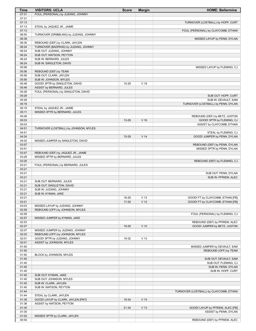| Time           | <b>VISITORS: UCLA</b>                                    | <b>Score</b> | <b>Margin</b>   | <b>HOME: Bellarmine</b>                                   |
|----------------|----------------------------------------------------------|--------------|-----------------|-----------------------------------------------------------|
| 07:31          | FOUL (PERSONAL) by JUZANG, JOHNNY                        |              |                 |                                                           |
| 07:31          |                                                          |              |                 |                                                           |
| 07:13<br>07:13 |                                                          |              |                 | TURNOVER (LOSTBALL) by HOPF, CURT                         |
| 07:13          | STEAL by JAQUEZ JR., JAIME                               |              |                 | FOUL (PERSONAL) by CLAYCOMB, ETHAN                        |
| 06:55          | TURNOVER (DRIBBLING) by JUZANG, JOHNNY                   |              |                 |                                                           |
| 06:38          |                                                          |              |                 | MISSED LAYUP by PENN, DYLAN                               |
| 06:35          | REBOUND (DEF) by CLARK, JAYLEN                           |              |                 |                                                           |
| 06:24          | TURNOVER (BADPASS) by JUZANG, JOHNNY                     |              |                 |                                                           |
| 06:24          | SUB OUT: JUZANG, JOHNNY                                  |              |                 |                                                           |
| 06:24          | SUB OUT: WATSON, PEYTON                                  |              |                 |                                                           |
| 06:24<br>06:24 | SUB IN: BERNARD, JULES<br>SUB IN: SINGLETON, DAVID       |              |                 |                                                           |
| 05:58          |                                                          |              |                 | MISSED LAYUP by FLEMING, CJ                               |
| 05:56          | REBOUND (DEF) by TEAM                                    |              |                 |                                                           |
| 05:56          | SUB OUT: CLARK, JAYLEN                                   |              |                 |                                                           |
| 05:56          | SUB IN: JOHNSON, MYLES                                   |              |                 |                                                           |
| 05:48          | GOOD! 3PTR by SINGLETON, DAVID                           | 10-29        | $V$ 19          |                                                           |
| 05:48          | ASSIST by BERNARD, JULES                                 |              |                 |                                                           |
| 05:28<br>05:28 | FOUL (PERSONAL) by SINGLETON, DAVID                      |              |                 |                                                           |
| 05:28          |                                                          |              |                 | SUB OUT: HOPF, CURT<br>SUB IN: DEVAULT, SAM               |
| 05:19          |                                                          |              |                 | TURNOVER (LOSTBALL) by PENN, DYLAN                        |
| 05:19          | STEAL by JAQUEZ JR., JAIME                               |              |                 |                                                           |
| 05:11          | MISSED 3PTR by BERNARD, JULES                            |              |                 |                                                           |
| 05:08          |                                                          |              |                 | REBOUND (DEF) by BETZ, JUSTON                             |
| 05:03          |                                                          | 13-29        | $V$ 16          | GOOD! 3PTR by FLEMING, CJ                                 |
| 05:03<br>04:51 | TURNOVER (LOSTBALL) by JOHNSON, MYLES                    |              |                 | ASSIST by CLAYCOMB, ETHAN                                 |
| 04:51          |                                                          |              |                 | STEAL by FLEMING, CJ                                      |
| 04:24          |                                                          | 15-29        | V <sub>14</sub> | GOOD! JUMPER by PENN, DYLAN                               |
| 04:02          | MISSED JUMPER by SINGLETON, DAVID                        |              |                 |                                                           |
| 03:57          |                                                          |              |                 | REBOUND (DEF) by PENN, DYLAN                              |
| 03:51          |                                                          |              |                 | MISSED 3PTR by PENN, DYLAN                                |
| 03:47          | REBOUND (DEF) by JAQUEZ JR., JAIME                       |              |                 |                                                           |
| 03:29          | MISSED 3PTR by BERNARD, JULES                            |              |                 |                                                           |
| 03:25<br>03:21 | FOUL (PERSONAL) by BERNARD, JULES                        |              |                 | REBOUND (DEF) by FLEMING, CJ                              |
| 03:21          |                                                          |              |                 |                                                           |
| 03:21          |                                                          |              |                 | SUB OUT: PENN, DYLAN                                      |
| 03:21          |                                                          |              |                 | SUB IN: PFRIEM, ALEC                                      |
|                | SUB OUT: BERNARD, JULES                                  |              |                 |                                                           |
| 03:21          |                                                          |              |                 |                                                           |
| 03:21          | SUB OUT: SINGLETON, DAVID                                |              |                 |                                                           |
| 03:21          | SUB IN: JUZANG, JOHNNY                                   |              |                 |                                                           |
| 03:21          | SUB IN: KYMAN, JAKE                                      |              |                 |                                                           |
| 03:21          |                                                          | 16-29        | V <sub>13</sub> | GOOD! FT by CLAYCOMB, ETHAN [FB]                          |
| 03:21<br>03:03 | MISSED LAYUP by JUZANG, JOHNNY                           | 17-29        | V <sub>12</sub> | GOOD! FT by CLAYCOMB, ETHAN [FB]                          |
| 02:59          | REBOUND (OFF) by JOHNSON, MYLES                          |              |                 |                                                           |
| 02:59          |                                                          |              |                 | FOUL (PERSONAL) by FLEMING, CJ                            |
| 02:57          | MISSED JUMPER by KYMAN, JAKE                             |              |                 |                                                           |
| 02:53          |                                                          |              |                 | REBOUND (DEF) by PFRIEM, ALEC                             |
| 02:27          |                                                          | 19-29        | $V$ 10          | GOOD! JUMPER by BETZ, JUSTON                              |
| 02:07          | MISSED JUMPER by JUZANG, JOHNNY                          |              |                 |                                                           |
| 02:02          | REBOUND (OFF) by JOHNSON, MYLES                          | 19-32        |                 |                                                           |
| 02:01<br>02:01 | GOOD! 3PTR by JUZANG, JOHNNY<br>ASSIST by JOHNSON, MYLES |              | V <sub>13</sub> |                                                           |
| 01:50          |                                                          |              |                 | MISSED JUMPER by DEVAULT, SAM                             |
| 01:50          |                                                          |              |                 | REBOUND (OFF) by TEAM                                     |
| 01:50          | BLOCK by JOHNSON, MYLES                                  |              |                 |                                                           |
| 01:45          |                                                          |              |                 | SUB OUT: DEVAULT, SAM                                     |
| 01:45          |                                                          |              |                 | SUB OUT: FLEMING, CJ                                      |
| 01:45          |                                                          |              |                 | SUB IN: PENN, DYLAN                                       |
| 01:45<br>01:45 | SUB OUT: KYMAN, JAKE                                     |              |                 | SUB IN: HOPF, CURT                                        |
| 01:45          | SUB OUT: JOHNSON, MYLES                                  |              |                 |                                                           |
| 01:45          | SUB IN: CLARK, JAYLEN                                    |              |                 |                                                           |
| 01:45          | SUB IN: WATSON, PEYTON                                   |              |                 |                                                           |
| 01:44          |                                                          |              |                 | TURNOVER (LOSTBALL) by CLAYCOMB, ETHAN                    |
| 01:44          | STEAL by CLARK, JAYLEN                                   |              |                 |                                                           |
| 01:38          | GOOD! LAYUP by CLARK, JAYLEN [PNT]                       | 19-34        | V <sub>15</sub> |                                                           |
| 01:38          | ASSIST by WATSON, PEYTON                                 |              |                 |                                                           |
| 01:30<br>01:30 |                                                          | $21 - 34$    | V <sub>13</sub> | GOOD! LAYUP by PFRIEM, ALEC [FB]<br>ASSIST by PENN, DYLAN |
| 01:02          | MISSED 3PTR by CLARK, JAYLEN                             |              |                 |                                                           |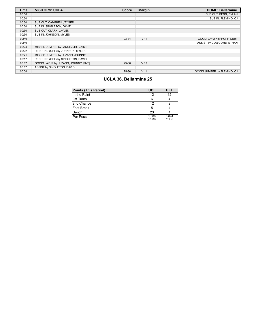| <b>Time</b> | <b>VISITORS: UCLA</b>               | <b>Score</b> | <b>Margin</b>   | <b>HOME: Bellarmine</b>     |
|-------------|-------------------------------------|--------------|-----------------|-----------------------------|
| 00:50       |                                     |              |                 | SUB OUT: PENN, DYLAN        |
| 00:50       |                                     |              |                 | SUB IN: FLEMING, CJ         |
| 00:50       | SUB OUT: CAMPBELL, TYGER            |              |                 |                             |
| 00:50       | SUB IN: SINGLETON, DAVID            |              |                 |                             |
| 00:50       | SUB OUT: CLARK, JAYLEN              |              |                 |                             |
| 00:50       | SUB IN: JOHNSON, MYLES              |              |                 |                             |
| 00:40       |                                     | 23-34        | V <sub>11</sub> | GOOD! LAYUP by HOPF, CURT   |
| 00:40       |                                     |              |                 | ASSIST by CLAYCOMB. ETHAN   |
| 00:24       | MISSED JUMPER by JAQUEZ JR., JAIME  |              |                 |                             |
| 00:22       | REBOUND (OFF) by JOHNSON, MYLES     |              |                 |                             |
| 00:21       | MISSED JUMPER by JUZANG, JOHNNY     |              |                 |                             |
| 00:17       | REBOUND (OFF) by SINGLETON, DAVID   |              |                 |                             |
| 00:17       | GOOD! LAYUP by JUZANG, JOHNNY [PNT] | 23-36        | V <sub>13</sub> |                             |
| 00:17       | ASSIST by SINGLETON, DAVID          |              |                 |                             |
| 00:04       |                                     | 25-36        | V <sub>11</sub> | GOOD! JUMPER by FLEMING. CJ |

# **UCLA 36, Bellarmine 25**

| <b>Points (This Period)</b> | UCL            | BEL            |
|-----------------------------|----------------|----------------|
| In the Paint                | 12             | 12             |
| Off Turns                   |                |                |
| 2nd Chance                  | 12             |                |
| <b>Fast Break</b>           | 5              |                |
| Bench                       | 23             |                |
| Per Poss                    | 1.000<br>15/36 | 0.694<br>12/36 |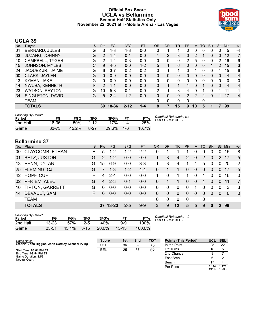### **Official Box Score UCLA vs Bellarmine Second Half Statistics Only November 22, 2021 at T-Mobile Arena - Las Vegas**



# **UCLA 39**

| No. | Plaver                | S. | <b>Pts</b>     | <b>FG</b> | 3FG      | <b>FT</b> | <b>OR</b> | D <sub>R</sub> | TR | PF | A        | TO | <b>Blk</b> | <b>Stl</b>     | Min | $+/-$ |
|-----|-----------------------|----|----------------|-----------|----------|-----------|-----------|----------------|----|----|----------|----|------------|----------------|-----|-------|
| 01  | <b>BERNARD, JULES</b> | G  | 3              | 1-3       | 1-3      | $0 - 0$   | 0         |                |    | 0  | $\Omega$ | 0  | 0          |                | 5   | $-4$  |
| 03  | <b>JUZANG, JOHNNY</b> | G  | $\overline{2}$ | $1 - 4$   | $0 - 1$  | $0 - 0$   |           | 2              | 3  | 0  |          |    | 0          | $\Omega$       | 12  | $-7$  |
| 10  | CAMPBELL, TYGER       | G  | 2              | $1 - 4$   | $0 - 3$  | $0 - 0$   | 0         | 0              | 0  | 2  | 5        | 0  | 0          | $\overline{2}$ | 16  | 9     |
| 15  | JOHNSON, MYLES        | С  | 9              | $4 - 5$   | $0 - 0$  | $1 - 2$   | 5         |                | 6  | 0  | $\Omega$ | 0  |            | $\overline{2}$ | 15  | 3     |
| 24  | JAQUEZ JR., JAIME     | G  | 6              | $3 - 7$   | $0 - 2$  | $0 - 2$   | $\Omega$  |                | 1  | 0  |          | 0  | 0          |                | 15  | 6     |
| 00  | CLARK, JAYLEN         | G  | 0              | $0 - 0$   | $0 - 0$  | $0 - 0$   | $\Omega$  | 0              | 0  | 0  | $\Omega$ | 0  | 0          | $\Omega$       | 4   | $-4$  |
| 13  | KYMAN, JAKE           | G  | 0              | $0 - 0$   | $0 - 0$  | $0 - 0$   | 0         | 0              | 0  | 0  | 0        | 0  | 0          | 0              | 0   | 0     |
| 14  | NWUBA, KENNETH        | F  | $\mathcal{P}$  | $1 - 1$   | $0 - 0$  | $0 - 0$   | $\Omega$  |                |    |    | 0        |    | 0          | $\Omega$       | 4   | $-4$  |
| 23  | <b>WATSON, PEYTON</b> | G  | 10             | $5 - 8$   | $0 - 1$  | $0 - 0$   | 2         |                | 3  | 4  | 0        |    | o          |                | 11  | $-1$  |
| 34  | SINGLETON, DAVID      | G  | 5              | $2 - 4$   | $1 - 2$  | $0 - 0$   | $\Omega$  | 0              | 0  | 2  | 2        | 2  | 0          |                | 17  | $-4$  |
|     | <b>TEAM</b>           |    |                |           |          |           | $\Omega$  | 0              | 0  | 0  |          | 0  |            |                |     |       |
|     | <b>TOTALS</b>         |    | 39             | 18-36     | $2 - 12$ | $1 - 4$   | 8         |                | 15 | 9  | 10       | 5  |            |                | 99  |       |

| <b>Shooting By Period</b><br>Period | FG        | FG%   | 3FG      | 3FG%  | FТ  | FT%   | Deadball Rebounds: 6,1<br>Last FG Half: UCL - |
|-------------------------------------|-----------|-------|----------|-------|-----|-------|-----------------------------------------------|
| 2nd Half                            | 18-36     | 50%   | $2 - 12$ | 17%   |     | 25%   |                                               |
| Game                                | $33 - 73$ | 45.2% | $8-27$   | 29.6% | 1-6 | 16.7% |                                               |

# **Bellarmine 37**

| No. | Player                 | S  | <b>Pts</b>    | FG.      | 3FG     | <b>FT</b> | OR           | <b>DR</b> | TR       | <b>PF</b>   | A              | TO       | <b>BIK</b> | Stl            | Min      | $+/-$        |
|-----|------------------------|----|---------------|----------|---------|-----------|--------------|-----------|----------|-------------|----------------|----------|------------|----------------|----------|--------------|
| 00  | <b>CLAYCOMB, ETHAN</b> | F. | 5             | $1 - 2$  | $1 - 2$ | $2 - 2$   | 0            |           |          |             | 0              | 0        | 0          |                | 15       | -8           |
| 01  | BETZ, JUSTON           | G  | $\mathcal{P}$ | $1 - 2$  | $0 - 0$ | $0-0$     | 1            | 3         | 4        | 2           | $\overline{0}$ | 2        | 0          | $\mathcal{P}$  | 17       | -5           |
| 13  | PENN, DYLAN            | G  | 15            | $6-9$    | $0 - 0$ | $3 - 3$   |              | 3         | 4        | 1           | 4              | 5        | 0          | 0              | 20       | $-2$         |
|     | 25 FLEMING, CJ         | G  |               | $1 - 3$  | $1 - 2$ | $4 - 4$   | $\mathbf{0}$ |           |          | 0           | $\overline{0}$ | 0        | 0          | $\overline{0}$ | 17       | $-5$         |
| 42  | <b>HOPF, CURT</b>      | F  | 4             | $2 - 4$  | $0 - 0$ | $0-0$     |              | 0         |          | 1           | $\Omega$       |          | 0          | $\Omega$       | 16       | $\mathbf{0}$ |
| 02  | PFRIEM, ALEC           | G  | 4             | $2 - 3$  | $0 - 1$ | $0 - 0$   | $\Omega$     |           |          | 0           | $\Omega$       |          | 0          | $\Omega$       | 11       | 7            |
| 10  | TIPTON, GARRETT        | G  | $\Omega$      | $0 - 0$  | $0 - 0$ | $0-0$     | 0            | 0         | $\Omega$ | 0           |                | 0        | 0          | $\Omega$       | 3        | -3           |
| 14  | <b>DEVAULT, SAM</b>    | F. | 0             | $0 - 0$  | $0 - 0$ | $0-0$     | 0            | $\Omega$  | $\Omega$ | $\Omega$    | $\Omega$       | $\Omega$ | 0          | $\Omega$       | $\Omega$ | $\Omega$     |
|     | <b>TEAM</b>            |    |               |          |         |           | $\Omega$     | 0         | $\Omega$ | $\mathbf 0$ |                | 0        |            |                |          |              |
|     | <b>TOTALS</b>          |    |               | 37 13-23 | 2-5     | $9-9$     | 3            | 9         | 12       | 5           | 5              | 9        | 0          |                | 2 99     |              |

| <b>Shooting By Period</b> |           |       |          |       |           |        | Dι |
|---------------------------|-----------|-------|----------|-------|-----------|--------|----|
| Period                    | FG        | FG%   | 3FG      | 3FG%  | FТ        | FT%    | Lε |
| 2nd Half                  | $13 - 23$ | 57%   | $2 - 5$  | 40%   | 9-9       | 100%   |    |
| Game                      | $23 - 51$ | 45.1% | $3 - 15$ | 20.0% | $13 - 13$ | 100.0% |    |

*Deadball Rebounds:* 1,2 *Last FG Half:* BEL -

| Game Notes:                                           | <b>Score</b> | 1st | 2 <sub>nd</sub> | <b>TOT</b> | <b>Points (This Period)</b> | <b>UCL</b>     | <b>BEL</b>     |
|-------------------------------------------------------|--------------|-----|-----------------|------------|-----------------------------|----------------|----------------|
| Officials: John Higgins, John Gaffney, Michael Irving | UCL          | 36  | 39              | 75         | In the Paint                | 28             | 22             |
| Start Time: 08:01 PM ET                               | <b>BEL</b>   | 25  | 37              | 62         | Off Turns                   |                |                |
| End Time: 09:54 PM ET                                 |              |     |                 |            | 2nd Chance                  |                |                |
| Game Duration: 1:52<br>Neutral Court:                 |              |     |                 |            | <b>Fast Break</b>           |                |                |
|                                                       |              |     |                 |            | Bench                       |                |                |
|                                                       |              |     |                 |            | Per Poss                    | l.114<br>19/35 | 1.121<br>18/33 |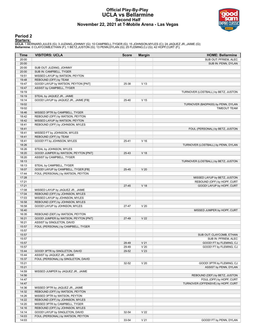#### **Official Play-By-Play UCLA vs Bellarmine Second Half November 22, 2021 at T-Mobile Arena - Las Vegas**



### **Period 2**

<mark>Starters:</mark><br>UCLA: 1 BERNARD,JULES (G); 3 JUZANG,JOHNNY (G); 10 CAMPBELL,TYGER (G); 15 JOHNSON,MYLES (C); 24 JAQUEZ JR.,JAIME (G);<br>**Bellarmine**: 0 CLAYCOMB,ETHAN (F); 1 BETZ,JUSTON (G); 13 PENN,DYLAN (G); 25 FLEMING,CJ (G);

| Time           | <b>VISITORS: UCLA</b>                                             | <b>Score</b> | <b>Margin</b>   | <b>HOME: Bellarmine</b>             |
|----------------|-------------------------------------------------------------------|--------------|-----------------|-------------------------------------|
| 20:00          |                                                                   |              |                 | SUB OUT: PFRIEM, ALEC               |
| 20:00          |                                                                   |              |                 | SUB IN: PENN, DYLAN                 |
| 20:00          | SUB OUT: JUZANG, JOHNNY                                           |              |                 |                                     |
| 20:00          | SUB IN: CAMPBELL, TYGER                                           |              |                 |                                     |
| 19:51          | MISSED LAYUP by WATSON, PEYTON                                    |              |                 |                                     |
| 19:48          | REBOUND (OFF) by TEAM                                             |              |                 |                                     |
| 19:47          | GOOD! LAYUP by WATSON, PEYTON [PNT]                               | 25-38        | V <sub>13</sub> |                                     |
| 19:47          | ASSIST by CAMPBELL, TYGER                                         |              |                 |                                     |
| 19:19          |                                                                   |              |                 | TURNOVER (LOSTBALL) by BETZ, JUSTON |
| 19:19          | STEAL by JAQUEZ JR., JAIME                                        |              |                 |                                     |
| 19:14          | GOOD! LAYUP by JAQUEZ JR., JAIME [FB]                             | 25-40        | V <sub>15</sub> |                                     |
| 19:02          |                                                                   |              |                 | TURNOVER (BADPASS) by PENN, DYLAN   |
| 19:02          |                                                                   |              |                 | <b>TIMEOUT TEAM</b>                 |
| 18:46          | MISSED 3PTR by CAMPBELL, TYGER                                    |              |                 |                                     |
| 18:42          | REBOUND (OFF) by WATSON, PEYTON                                   |              |                 |                                     |
| 18:42          | MISSED LAYUP by WATSON, PEYTON                                    |              |                 |                                     |
| 18:41          | REBOUND (OFF) by JOHNSON, MYLES                                   |              |                 |                                     |
| 18:41          |                                                                   |              |                 | FOUL (PERSONAL) by BETZ, JUSTON     |
| 18:41          | MISSED FT by JOHNSON, MYLES                                       |              |                 |                                     |
| 18:41          | REBOUND (OFF) by TEAM<br>GOOD! FT by JOHNSON, MYLES               |              |                 |                                     |
| 18:41<br>18:26 |                                                                   | 25-41        | V <sub>16</sub> |                                     |
| 18:26          | STEAL by JOHNSON, MYLES                                           |              |                 | TURNOVER (LOSTBALL) by PENN, DYLAN  |
| 18:20          | GOOD! JUMPER by WATSON, PEYTON [PNT]                              | 25-43        | V <sub>18</sub> |                                     |
| 18:20          | ASSIST by CAMPBELL, TYGER                                         |              |                 |                                     |
| 18:13          |                                                                   |              |                 | TURNOVER (LOSTBALL) by BETZ, JUSTON |
| 18:13          | STEAL by CAMPBELL, TYGER                                          |              |                 |                                     |
| 18:07          | GOOD! LAYUP by CAMPBELL, TYGER [FB]                               | 25-45        | V <sub>20</sub> |                                     |
| 17:44          | FOUL (PERSONAL) by WATSON, PEYTON                                 |              |                 |                                     |
| 17:28          |                                                                   |              |                 | MISSED LAYUP by BETZ, JUSTON        |
| 17:21          |                                                                   |              |                 | REBOUND (OFF) by HOPF, CURT         |
| 17:21          |                                                                   | $27 - 45$    | V <sub>18</sub> | GOOD! LAYUP by HOPF, CURT           |
| 17:08          | MISSED LAYUP by JAQUEZ JR., JAIME                                 |              |                 |                                     |
| 17:04          | REBOUND (OFF) by JOHNSON, MYLES                                   |              |                 |                                     |
| 17:03          | MISSED LAYUP by JOHNSON, MYLES                                    |              |                 |                                     |
| 16:58          | REBOUND (OFF) by JOHNSON, MYLES                                   |              |                 |                                     |
| 16:58          | GOOD! LAYUP by JOHNSON, MYLES                                     | 27-47        | V <sub>20</sub> |                                     |
| 16:40          |                                                                   |              |                 | MISSED JUMPER by HOPF, CURT         |
| 16:35          | REBOUND (DEF) by WATSON, PEYTON                                   |              |                 |                                     |
| 16:21          | GOOD! JUMPER by WATSON, PEYTON [PNT]                              | 27-49        | V <sub>22</sub> |                                     |
| 16:21          | ASSIST by SINGLETON, DAVID                                        |              |                 |                                     |
| 15:57          | FOUL (PERSONAL) by CAMPBELL, TYGER                                |              |                 |                                     |
| 15:57          |                                                                   |              |                 |                                     |
| 15:57          |                                                                   |              |                 | SUB OUT: CLAYCOMB, ETHAN            |
| 15:57          |                                                                   |              |                 | SUB IN: PFRIEM, ALEC                |
| 15:57          |                                                                   | 28-49        | V <sub>21</sub> | GOOD! FT by FLEMING, CJ             |
| 15:57          |                                                                   | 29-49        | V <sub>20</sub> | GOOD! FT by FLEMING, CJ             |
| 15:44          | GOOD! 3PTR by SINGLETON, DAVID                                    | 29-52        | V <sub>23</sub> |                                     |
| 15:44          | ASSIST by JAQUEZ JR., JAIME                                       |              |                 |                                     |
| 15:37          | FOUL (PERSONAL) by SINGLETON, DAVID                               |              |                 |                                     |
| 15:21          |                                                                   | 32-52        | V <sub>20</sub> | GOOD! 3PTR by FLEMING, CJ           |
| 15:21          |                                                                   |              |                 | ASSIST by PENN, DYLAN               |
| 14:59          | MISSED JUMPER by JAQUEZ JR., JAIME                                |              |                 |                                     |
| 14:56          |                                                                   |              |                 | REBOUND (DEF) by BETZ, JUSTON       |
| 14:47          |                                                                   |              |                 | FOUL (OFF) by HOPF, CURT            |
| 14:47          |                                                                   |              |                 | TURNOVER (OFFENSIVE) by HOPF, CURT  |
| 14:36          | MISSED 3PTR by JAQUEZ JR., JAIME                                  |              |                 |                                     |
| 14:32          | REBOUND (OFF) by WATSON, PEYTON                                   |              |                 |                                     |
| 14:26          | MISSED 3PTR by WATSON, PEYTON                                     |              |                 |                                     |
| 14:22          | REBOUND (OFF) by JOHNSON, MYLES                                   |              |                 |                                     |
| 14:20<br>14:16 | MISSED 3PTR by CAMPBELL, TYGER<br>REBOUND (OFF) by JOHNSON, MYLES |              |                 |                                     |
| 14:14          | GOOD! LAYUP by SINGLETON, DAVID                                   | 32-54        | V <sub>22</sub> |                                     |
| 14:03          | FOUL (PERSONAL) by WATSON, PEYTON                                 |              |                 |                                     |
| 14:03          |                                                                   | 33-54        | V <sub>21</sub> | GOOD! FT by PENN, DYLAN             |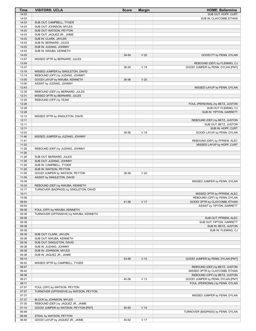| Time           | <b>VISITORS: UCLA</b>                                                      | <b>Score</b> | <b>Margin</b>   | <b>HOME: Bellarmine</b>                                |
|----------------|----------------------------------------------------------------------------|--------------|-----------------|--------------------------------------------------------|
| 14:03          |                                                                            |              |                 | SUB OUT: HOPF, CURT                                    |
| 14:03          |                                                                            |              |                 | SUB IN: CLAYCOMB, ETHAN                                |
| 14:03          | SUB OUT: CAMPBELL, TYGER                                                   |              |                 |                                                        |
| 14:03          | SUB OUT: JOHNSON, MYLES                                                    |              |                 |                                                        |
| 14:03<br>14:03 | SUB OUT: WATSON, PEYTON<br>SUB OUT: JAQUEZ JR., JAIME                      |              |                 |                                                        |
| 14:03          | SUB IN: CLARK, JAYLEN                                                      |              |                 |                                                        |
| 14:03          | SUB IN: BERNARD, JULES                                                     |              |                 |                                                        |
| 14:03          | SUB IN: JUZANG, JOHNNY                                                     |              |                 |                                                        |
| 14:03          | SUB IN: NWUBA, KENNETH                                                     |              |                 |                                                        |
| 14:03          |                                                                            | 34-54        | V <sub>20</sub> | GOOD! FT by PENN, DYLAN                                |
| 13:57          | MISSED 3PTR by BERNARD, JULES                                              |              |                 |                                                        |
| 13:54          |                                                                            |              |                 | REBOUND (DEF) by FLEMING, CJ                           |
| 13:37          |                                                                            | 36-54        | V <sub>18</sub> | GOOD! JUMPER by PENN, DYLAN [PNT]                      |
| 13:18          | MISSED JUMPER by SINGLETON, DAVID                                          |              |                 |                                                        |
| 13:14<br>13:00 | REBOUND (OFF) by JUZANG, JOHNNY<br>GOOD! LAYUP by NWUBA, KENNETH           | 36-56        | V <sub>20</sub> |                                                        |
| 13:00          | ASSIST by JUZANG, JOHNNY                                                   |              |                 |                                                        |
| 12:43          |                                                                            |              |                 | MISSED LAYUP by PENN, DYLAN                            |
| 12:39          | REBOUND (DEF) by BERNARD, JULES                                            |              |                 |                                                        |
| 12:31          | MISSED 3PTR by BERNARD, JULES                                              |              |                 |                                                        |
| 12:28          | REBOUND (OFF) by TEAM                                                      |              |                 |                                                        |
| 12:28          |                                                                            |              |                 | FOUL (PERSONAL) by BETZ, JUSTON                        |
| 12:28          |                                                                            |              |                 | SUB OUT: FLEMING, CJ                                   |
| 12:28          |                                                                            |              |                 | SUB IN: TIPTON, GARRETT                                |
| 12:12          | MISSED 3PTR by SINGLETON, DAVID                                            |              |                 |                                                        |
| 12:11<br>12:11 |                                                                            |              |                 | REBOUND (DEF) by BETZ, JUSTON<br>SUB OUT: BETZ, JUSTON |
| 12:11          |                                                                            |              |                 | SUB IN: HOPF, CURT                                     |
| 12:03          |                                                                            | 38-56        | V <sub>18</sub> | GOOD! LAYUP by PENN, DYLAN                             |
| 11:46          | MISSED JUMPER by JUZANG, JOHNNY                                            |              |                 |                                                        |
| 11:41          |                                                                            |              |                 | REBOUND (DEF) by PFRIEM, ALEC                          |
| 11:32          |                                                                            |              |                 | MISSED LAYUP by HOPF, CURT                             |
| 11:28          | REBOUND (DEF) by JUZANG, JOHNNY                                            |              |                 |                                                        |
| 11:28          |                                                                            |              |                 |                                                        |
| 11:28          | SUB OUT: BERNARD, JULES                                                    |              |                 |                                                        |
| 11:28          | SUB OUT: JUZANG, JOHNNY                                                    |              |                 |                                                        |
| 11:28          | SUB IN: CAMPBELL, TYGER                                                    |              |                 |                                                        |
| 11:28<br>11:09 | SUB IN: WATSON, PEYTON<br>GOOD! JUMPER by WATSON, PEYTON                   | 38-58        | V <sub>20</sub> |                                                        |
| 11:09          | ASSIST by SINGLETON, DAVID                                                 |              |                 |                                                        |
| 10:39          |                                                                            |              |                 | MISSED JUMPER by PENN, DYLAN                           |
| 10:33          | REBOUND (DEF) by NWUBA, KENNETH                                            |              |                 |                                                        |
| 10:17          | TURNOVER (BADPASS) by SINGLETON, DAVID                                     |              |                 |                                                        |
| 10:11          |                                                                            |              |                 | MISSED 3PTR by PFRIEM, ALEC                            |
| 10:06          |                                                                            |              |                 | REBOUND (OFF) by PENN, DYLAN                           |
| 09:54          |                                                                            | 41-58        | V 17            | GOOD! 3PTR by CLAYCOMB, ETHAN                          |
| 09:54          |                                                                            |              |                 | ASSIST by TIPTON, GARRETT                              |
| 09:38<br>09:38 | FOUL (OFF) by NWUBA, KENNETH<br>TURNOVER (OFFENSIVE) by NWUBA, KENNETH     |              |                 |                                                        |
| 09:38          |                                                                            |              |                 | SUB OUT: PFRIEM, ALEC                                  |
| 09:38          |                                                                            |              |                 | SUB OUT: TIPTON, GARRETT                               |
| 09:38          |                                                                            |              |                 | SUB IN: BETZ, JUSTON                                   |
| 09:38          |                                                                            |              |                 | SUB IN: FLEMING, CJ                                    |
| 09:38          | SUB OUT: CLARK, JAYLEN                                                     |              |                 |                                                        |
| 09:38          | SUB OUT: NWUBA, KENNETH                                                    |              |                 |                                                        |
| 09:38          | SUB OUT: SINGLETON, DAVID                                                  |              |                 |                                                        |
| 09:38          | SUB IN: JUZANG, JOHNNY                                                     |              |                 |                                                        |
| 09:38          | SUB IN: JOHNSON, MYLES                                                     |              |                 |                                                        |
| 09:38<br>09:14 | SUB IN: JAQUEZ JR., JAIME                                                  | 43-58        | V <sub>15</sub> | GOOD! JUMPER by PENN, DYLAN [PNT]                      |
| 08:52          | MISSED 3PTR by CAMPBELL, TYGER                                             |              |                 |                                                        |
| 08:47          |                                                                            |              |                 | REBOUND (DEF) by BETZ, JUSTON                          |
| 08:42          |                                                                            |              |                 | MISSED 3PTR by CLAYCOMB, ETHAN                         |
| 08:36          |                                                                            |              |                 | REBOUND (OFF) by BETZ, JUSTON                          |
| 08:21          |                                                                            | 45-58        | V <sub>13</sub> | GOOD! JUMPER by PENN, DYLAN [PNT]                      |
| 08:11          |                                                                            |              |                 | FOUL (PERSONAL) by PENN, DYLAN                         |
| 07:57          | FOUL (OFF) by WATSON, PEYTON                                               |              |                 |                                                        |
| 07:57          | TURNOVER (OFFENSIVE) by WATSON, PEYTON                                     |              |                 |                                                        |
| 07:37          |                                                                            |              |                 | MISSED JUMPER by PENN, DYLAN                           |
| 07:37          | BLOCK by JOHNSON, MYLES                                                    |              |                 |                                                        |
| 07:30<br>07:10 | REBOUND (DEF) by JAQUEZ JR., JAIME<br>GOOD! JUMPER by WATSON, PEYTON [PNT] | 45-60        | V <sub>15</sub> |                                                        |
| 06:48          |                                                                            |              |                 | TURNOVER (BADPASS) by PENN, DYLAN                      |
| 06:48          | STEAL by WATSON, PEYTON                                                    |              |                 |                                                        |
| 06:40          | GOOD! LAYUP by JAQUEZ JR., JAIME                                           | 45-62        | V 17            |                                                        |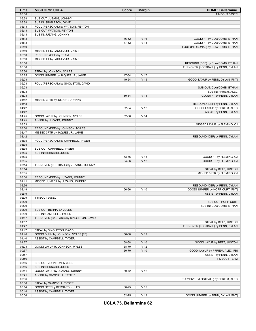| Time           | <b>VISITORS: UCLA</b>                  | <b>Score</b> | <b>Margin</b>   | <b>HOME: Bellarmine</b>                                                |
|----------------|----------------------------------------|--------------|-----------------|------------------------------------------------------------------------|
| 06:38          |                                        |              |                 | TIMEOUT 30SEC                                                          |
| 06:38          | SUB OUT: JUZANG, JOHNNY                |              |                 |                                                                        |
| 06:38          | SUB IN: SINGLETON, DAVID               |              |                 |                                                                        |
| 06:13          | FOUL (PERSONAL) by WATSON, PEYTON      |              |                 |                                                                        |
| 06:13          | SUB OUT: WATSON, PEYTON                |              |                 |                                                                        |
| 06:13          | SUB IN: JUZANG, JOHNNY                 |              |                 |                                                                        |
| 06:13          |                                        | 46-62        | V <sub>16</sub> | GOOD! FT by CLAYCOMB, ETHAN                                            |
| 06:13          |                                        | 47-62        | V <sub>15</sub> | GOOD! FT by CLAYCOMB, ETHAN                                            |
| 05:50          |                                        |              |                 | FOUL (PERSONAL) by CLAYCOMB, ETHAN                                     |
| 05:50          | MISSED FT by JAQUEZ JR., JAIME         |              |                 |                                                                        |
| 05:50          | REBOUND (OFF) by TEAM                  |              |                 |                                                                        |
| 05:50          | MISSED FT by JAQUEZ JR., JAIME         |              |                 |                                                                        |
| 05:50<br>05:36 |                                        |              |                 | REBOUND (DEF) by CLAYCOMB, ETHAN<br>TURNOVER (LOSTBALL) by PENN, DYLAN |
| 05:36          | STEAL by JOHNSON, MYLES                |              |                 |                                                                        |
| 05:25          | GOOD! JUMPER by JAQUEZ JR., JAIME      | 47-64        | V <sub>17</sub> |                                                                        |
| 05:03          |                                        | 49-64        | V <sub>15</sub> | GOOD! LAYUP by PENN, DYLAN [PNT]                                       |
| 05:03          | FOUL (PERSONAL) by SINGLETON, DAVID    |              |                 |                                                                        |
| 05:03          |                                        |              |                 | SUB OUT: CLAYCOMB, ETHAN                                               |
| 05:03          |                                        |              |                 | SUB IN: PFRIEM, ALEC                                                   |
| 05:03          |                                        | 50-64        | V <sub>14</sub> | GOOD! FT by PENN, DYLAN                                                |
| 04:52          | MISSED 3PTR by JUZANG, JOHNNY          |              |                 |                                                                        |
| 04:43          |                                        |              |                 | REBOUND (DEF) by PENN, DYLAN                                           |
| 04:42          |                                        | 52-64        | V <sub>12</sub> | GOOD! LAYUP by PFRIEM, ALEC                                            |
| 04:42          |                                        |              |                 | ASSIST by PENN, DYLAN                                                  |
| 04:25          | GOOD! LAYUP by JOHNSON, MYLES          | 52-66        | V <sub>14</sub> |                                                                        |
| 04:25          | ASSIST by JUZANG, JOHNNY               |              |                 |                                                                        |
| 03:53          |                                        |              |                 | MISSED LAYUP by FLEMING, CJ                                            |
| 03:50          | REBOUND (DEF) by JOHNSON, MYLES        |              |                 |                                                                        |
| 03:47          | MISSED 3PTR by JAQUEZ JR., JAIME       |              |                 |                                                                        |
| 03:42          |                                        |              |                 | REBOUND (DEF) by PENN, DYLAN                                           |
| 03:35          | FOUL (PERSONAL) by CAMPBELL, TYGER     |              |                 |                                                                        |
| 03:35          |                                        |              |                 |                                                                        |
| 03:35<br>03:35 | SUB OUT: CAMPBELL, TYGER               |              |                 |                                                                        |
| 03:35          | SUB IN: BERNARD, JULES                 | 53-66        | V <sub>13</sub> | GOOD! FT by FLEMING, CJ                                                |
| 03:35          |                                        | 54-66        | V <sub>12</sub> | GOOD! FT by FLEMING, CJ                                                |
| 03:14          | TURNOVER (LOSTBALL) by JUZANG, JOHNNY  |              |                 |                                                                        |
| 03:14          |                                        |              |                 | STEAL by BETZ, JUSTON                                                  |
| 03:05          |                                        |              |                 | MISSED 3PTR by FLEMING, CJ                                             |
| 03:00          | REBOUND (DEF) by JUZANG, JOHNNY        |              |                 |                                                                        |
| 02:41          | MISSED JUMPER by JUZANG, JOHNNY        |              |                 |                                                                        |
| 02:36          |                                        |              |                 | REBOUND (DEF) by PENN, DYLAN                                           |
| 02:19          |                                        | 56-66        | $V$ 10          | GOOD! JUMPER by HOPF, CURT [PNT]                                       |
| 02:19          |                                        |              |                 | ASSIST by PENN, DYLAN                                                  |
| 02:09          | TIMEOUT 30SEC                          |              |                 |                                                                        |
| 02:09          |                                        |              |                 | SUB OUT: HOPF, CURT                                                    |
| 02:09          |                                        |              |                 | SUB IN: CLAYCOMB, ETHAN                                                |
| 02:09          | SUB OUT: BERNARD, JULES                |              |                 |                                                                        |
| 02:09          | SUB IN: CAMPBELL, TYGER                |              |                 |                                                                        |
| 01:57          | TURNOVER (BADPASS) by SINGLETON, DAVID |              |                 |                                                                        |
| 01:57<br>01:47 |                                        |              |                 | STEAL by BETZ, JUSTON<br>TURNOVER (LOSTBALL) by PENN, DYLAN            |
| 01:47          | STEAL by SINGLETON, DAVID              |              |                 |                                                                        |
| 01:40          | GOOD! DUNK by JOHNSON, MYLES [FB]      | 56-68        | V <sub>12</sub> |                                                                        |
| 01:40          | ASSIST by CAMPBELL, TYGER              |              |                 |                                                                        |
| 01:27          |                                        | 58-68        | $V$ 10          | GOOD! LAYUP by BETZ, JUSTON                                            |
| 01:03          | GOOD! LAYUP by JOHNSON, MYLES          | 58-70        | V <sub>12</sub> |                                                                        |
| 00:57          |                                        | 60-70        | $V$ 10          | GOOD! LAYUP by PFRIEM, ALEC [FB]                                       |
| 00:57          |                                        |              |                 | ASSIST by PENN, DYLAN                                                  |
| 00:56          |                                        |              |                 | TIMEOUT TEAM                                                           |
| 00:56          | SUB OUT: JOHNSON, MYLES                |              |                 |                                                                        |
| 00:56          | SUB IN: BERNARD, JULES                 |              |                 |                                                                        |
| 00:41          | GOOD! LAYUP by JUZANG, JOHNNY          | 60-72        | V <sub>12</sub> |                                                                        |
| 00:41          | ASSIST by CAMPBELL, TYGER              |              |                 |                                                                        |
| 00:36          | STEAL by CAMPBELL, TYGER               |              |                 | TURNOVER (LOSTBALL) by PFRIEM, ALEC                                    |
| 00:36<br>00:14 | GOOD! 3PTR by BERNARD, JULES           | 60-75        | V <sub>15</sub> |                                                                        |
| 00:14          | ASSIST by CAMPBELL, TYGER              |              |                 |                                                                        |
| 00:06          |                                        | 62-75        | V <sub>13</sub> | GOOD! JUMPER by PENN, DYLAN [PNT]                                      |

**UCLA 75, Bellarmine 62**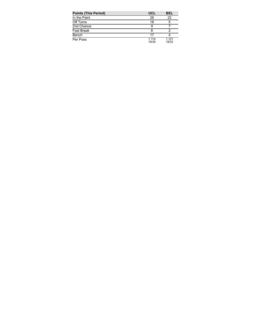| <b>Points (This Period)</b> | <b>UCL</b>     | BEL            |
|-----------------------------|----------------|----------------|
| In the Paint                | 28             | 22             |
| Off Turns                   | 18             | 5              |
| 2nd Chance                  | 9              |                |
| <b>Fast Break</b>           | 6              |                |
| Bench                       | 17             |                |
| Per Poss                    | 1.114<br>19/35 | 1.121<br>18/33 |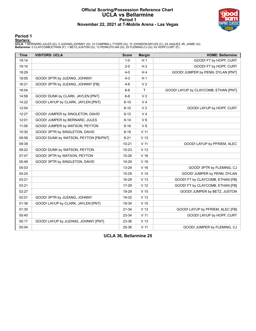#### **Official Scoring/Possession Reference Chart UCLA vs Bellarmine Period 1 November 22, 2021 at T-Mobile Arena - Las Vegas**



#### **Period 1**

<mark>Starters:</mark><br>UCLA: 1 BERNARD,JULES (G); 3 JUZANG,JOHNNY (G); 10 CAMPBELL,TYGER (G); 15 JOHNSON,MYLES (C); 24 JAQUEZ JR.,JAIME (G);<br>**Bellarmine**: 0 CLAYCOMB,ETHAN (F); 1 BETZ,JUSTON (G); 13 PENN,DYLAN (G); 25 FLEMING,CJ (G);

| <b>Time</b> | <b>VISITORS: UCLA</b>                 | <b>Score</b> | <b>Margin</b>   | <b>HOME: Bellarmine</b>              |
|-------------|---------------------------------------|--------------|-----------------|--------------------------------------|
| 19:14       |                                       | $1-0$        | H <sub>1</sub>  | GOOD! FT by HOPF, CURT               |
| 19:14       |                                       | $2 - 0$      | H <sub>2</sub>  | GOOD! FT by HOPF, CURT               |
| 18:29       |                                       | $4-0$        | H <sub>4</sub>  | GOOD! JUMPER by PENN, DYLAN [PNT]    |
| 18:05       | GOOD! 3PTR by JUZANG, JOHNNY          | $4 - 3$      | H <sub>1</sub>  |                                      |
| 16:21       | GOOD! 3PTR by JUZANG, JOHNNY [FB]     | $4-6$        | V <sub>2</sub>  |                                      |
| 16:04       |                                       | $6-6$        | $\mathsf{T}$    | GOOD! LAYUP by CLAYCOMB, ETHAN [PNT] |
| 14:58       | GOOD! DUNK by CLARK, JAYLEN [PNT]     | $6 - 8$      | V <sub>2</sub>  |                                      |
| 14:22       | GOOD! LAYUP by CLARK, JAYLEN [PNT]    | $6 - 10$     | V <sub>4</sub>  |                                      |
| 12:54       |                                       | $8 - 10$     | V <sub>2</sub>  | GOOD! LAYUP by HOPF, CURT            |
| 12:27       | GOOD! JUMPER by SINGLETON, DAVID      | $8 - 12$     | V <sub>4</sub>  |                                      |
| 12:01       | GOOD! JUMPER by BERNARD, JULES        | $8 - 14$     | $V_6$           |                                      |
| 11:09       | GOOD! JUMPER by WATSON, PEYTON        | $8 - 16$     | V8              |                                      |
| 10:30       | GOOD! 3PTR by SINGLETON, DAVID        | $8 - 19$     | V <sub>11</sub> |                                      |
| 09:58       | GOOD! DUNK by WATSON, PEYTON [FB/PNT] | $8 - 21$     | V <sub>13</sub> |                                      |
| 09:39       |                                       | $10 - 21$    | $V$ 11          | GOOD! LAYUP by PFRIEM, ALEC          |
| 09:22       | GOOD! DUNK by WATSON, PEYTON          | $10 - 23$    | V <sub>13</sub> |                                      |
| 07:47       | GOOD! 3PTR by WATSON, PEYTON          | 10-26        | V <sub>16</sub> |                                      |
| 05:48       | GOOD! 3PTR by SINGLETON, DAVID        | 10-29        | V 19            |                                      |
| 05:03       |                                       | 13-29        | V <sub>16</sub> | GOOD! 3PTR by FLEMING, CJ            |
| 04:24       |                                       | 15-29        | V <sub>14</sub> | GOOD! JUMPER by PENN, DYLAN          |
| 03:21       |                                       | 16-29        | V <sub>13</sub> | GOOD! FT by CLAYCOMB, ETHAN [FB]     |
| 03:21       |                                       | 17-29        | V <sub>12</sub> | GOOD! FT by CLAYCOMB, ETHAN [FB]     |
| 02:27       |                                       | 19-29        | $V$ 10          | GOOD! JUMPER by BETZ, JUSTON         |
| 02:01       | GOOD! 3PTR by JUZANG, JOHNNY          | 19-32        | V <sub>13</sub> |                                      |
| 01:38       | GOOD! LAYUP by CLARK, JAYLEN [PNT]    | 19-34        | V <sub>15</sub> |                                      |
| 01:30       |                                       | $21 - 34$    | V <sub>13</sub> | GOOD! LAYUP by PFRIEM, ALEC [FB]     |
| 00:40       |                                       | 23-34        | V <sub>11</sub> | GOOD! LAYUP by HOPF, CURT            |
| 00:17       | GOOD! LAYUP by JUZANG, JOHNNY [PNT]   | 23-36        | V <sub>13</sub> |                                      |
| 00:04       |                                       | 25-36        | $V$ 11          | GOOD! JUMPER by FLEMING, CJ          |

**UCLA 36, Bellarmine 25**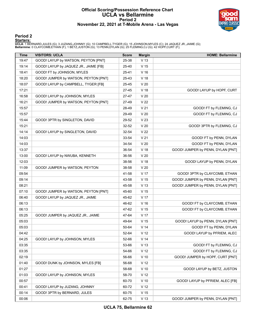### **Official Scoring/Possession Reference Chart UCLA vs Bellarmine Period 2 November 22, 2021 at T-Mobile Arena - Las Vegas**



#### **Period 2**

#### **Starters:**

**UCLA**: 1 BERNARD,JULES (G); 3 JUZANG,JOHNNY (G); 10 CAMPBELL,TYGER (G); 15 JOHNSON,MYLES (C); 24 JAQUEZ JR.,JAIME (G);<br>**Bellarmine**: 0 CLAYCOMB,ETHAN (F); 1 BETZ,JUSTON (G); 13 PENN,DYLAN (G); 25 FLEMING,CJ (G); 42 HOPF,C

| <b>Time</b> | <b>VISITORS: UCLA</b>                 | <b>Score</b> | <b>Margin</b>   | <b>HOME: Bellarmine</b>           |
|-------------|---------------------------------------|--------------|-----------------|-----------------------------------|
| 19:47       | GOOD! LAYUP by WATSON, PEYTON [PNT]   | 25-38        | V <sub>13</sub> |                                   |
| 19:14       | GOOD! LAYUP by JAQUEZ JR., JAIME [FB] | 25-40        | V <sub>15</sub> |                                   |
| 18:41       | GOOD! FT by JOHNSON, MYLES            | 25-41        | V <sub>16</sub> |                                   |
| 18:20       | GOOD! JUMPER by WATSON, PEYTON [PNT]  | 25-43        | $V$ 18          |                                   |
| 18:07       | GOOD! LAYUP by CAMPBELL, TYGER [FB]   | 25-45        | V <sub>20</sub> |                                   |
| 17:21       |                                       | 27-45        | V <sub>18</sub> | GOOD! LAYUP by HOPF, CURT         |
| 16:58       | GOOD! LAYUP by JOHNSON, MYLES         | 27-47        | V <sub>20</sub> |                                   |
| 16:21       | GOOD! JUMPER by WATSON, PEYTON [PNT]  | 27-49        | V <sub>22</sub> |                                   |
| 15:57       |                                       | 28-49        | V <sub>21</sub> | GOOD! FT by FLEMING, CJ           |
| 15:57       |                                       | 29-49        | V <sub>20</sub> | GOOD! FT by FLEMING, CJ           |
| 15:44       | GOOD! 3PTR by SINGLETON, DAVID        | 29-52        | V <sub>23</sub> |                                   |
| 15:21       |                                       | 32-52        | V <sub>20</sub> | GOOD! 3PTR by FLEMING, CJ         |
| 14:14       | GOOD! LAYUP by SINGLETON, DAVID       | 32-54        | V <sub>22</sub> |                                   |
| 14:03       |                                       | 33-54        | V <sub>21</sub> | GOOD! FT by PENN, DYLAN           |
| 14:03       |                                       | 34-54        | V <sub>20</sub> | GOOD! FT by PENN, DYLAN           |
| 13:37       |                                       | 36-54        | V <sub>18</sub> | GOOD! JUMPER by PENN, DYLAN [PNT] |
| 13:00       | GOOD! LAYUP by NWUBA, KENNETH         | 36-56        | V <sub>20</sub> |                                   |
| 12:03       |                                       | 38-56        | V <sub>18</sub> | GOOD! LAYUP by PENN, DYLAN        |
| 11:09       | GOOD! JUMPER by WATSON, PEYTON        | 38-58        | V <sub>20</sub> |                                   |
| 09:54       |                                       | 41-58        | V <sub>17</sub> | GOOD! 3PTR by CLAYCOMB, ETHAN     |
| 09:14       |                                       | 43-58        | V <sub>15</sub> | GOOD! JUMPER by PENN, DYLAN [PNT] |
| 08:21       |                                       | 45-58        | V <sub>13</sub> | GOOD! JUMPER by PENN, DYLAN [PNT] |
| 07:10       | GOOD! JUMPER by WATSON, PEYTON [PNT]  | 45-60        | V <sub>15</sub> |                                   |
| 06:40       | GOOD! LAYUP by JAQUEZ JR., JAIME      | 45-62        | V <sub>17</sub> |                                   |
| 06:13       |                                       | 46-62        | V <sub>16</sub> | GOOD! FT by CLAYCOMB, ETHAN       |
| 06:13       |                                       | 47-62        | V <sub>15</sub> | GOOD! FT by CLAYCOMB, ETHAN       |
| 05:25       | GOOD! JUMPER by JAQUEZ JR., JAIME     | 47-64        | V <sub>17</sub> |                                   |
| 05:03       |                                       | 49-64        | $V$ 15          | GOOD! LAYUP by PENN, DYLAN [PNT]  |
| 05:03       |                                       | 50-64        | V <sub>14</sub> | GOOD! FT by PENN, DYLAN           |
| 04:42       |                                       | 52-64        | V <sub>12</sub> | GOOD! LAYUP by PFRIEM, ALEC       |
| 04:25       | GOOD! LAYUP by JOHNSON, MYLES         | 52-66        | V <sub>14</sub> |                                   |
| 03:35       |                                       | 53-66        | V <sub>13</sub> | GOOD! FT by FLEMING, CJ           |
| 03:35       |                                       | 54-66        | V <sub>12</sub> | GOOD! FT by FLEMING, CJ           |
| 02:19       |                                       | 56-66        | $V$ 10          | GOOD! JUMPER by HOPF, CURT [PNT]  |
| 01:40       | GOOD! DUNK by JOHNSON, MYLES [FB]     | 56-68        | V <sub>12</sub> |                                   |
| 01:27       |                                       | 58-68        | $V$ 10          | GOOD! LAYUP by BETZ, JUSTON       |
| 01:03       | GOOD! LAYUP by JOHNSON, MYLES         | 58-70        | V <sub>12</sub> |                                   |
| 00:57       |                                       | 60-70        | $V$ 10          | GOOD! LAYUP by PFRIEM, ALEC [FB]  |
| 00:41       | GOOD! LAYUP by JUZANG, JOHNNY         | 60-72        | V <sub>12</sub> |                                   |
| 00:14       | GOOD! 3PTR by BERNARD, JULES          | 60-75        | V <sub>15</sub> |                                   |
| 00:06       |                                       | 62-75        | V <sub>13</sub> | GOOD! JUMPER by PENN, DYLAN [PNT] |

**UCLA 75, Bellarmine 62**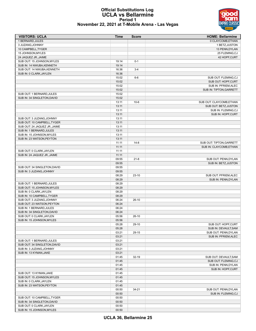#### **Official Substitutions Log UCLA vs Bellarmine Period 1 November 22, 2021 at T-Mobile Arena - Las Vegas**

| <b>VISITORS: UCLA</b>         | <b>Time</b> | <b>Score</b> | <b>HOME: Bellarmine</b>  |
|-------------------------------|-------------|--------------|--------------------------|
| 1 BERNARD, JULES              |             |              | 0 CLAYCOMB, ETHAN        |
| 3 JUZANG, JOHNNY              |             |              | 1 BETZ, JUSTON           |
| 10 CAMPBELL, TYGER            |             |              | 13 PENN, DYLAN           |
| 15 JOHNSON, MYLES             |             |              | 25 FLEMING, CJ           |
| 24 JAQUEZ JR., JAIME          |             |              | 42 HOPF, CURT            |
| SUB OUT: 15 JOHNSON, MYLES    | 19:14       | $0 - 1$      |                          |
| SUB IN: 14 NWUBA, KENNETH     | 19:14       |              |                          |
| SUB OUT: 14 NWUBA, KENNETH    | 16:36       | $3 - 4$      |                          |
| SUB IN: 0 CLARK, JAYLEN       | 16:36       |              |                          |
|                               | 15:02       | $6-6$        | SUB OUT: FLEMING,CJ      |
|                               | 15:02       |              | SUB OUT: HOPF, CURT      |
|                               | 15:02       |              | SUB IN: PFRIEM, ALEC     |
|                               | 15:02       |              | SUB IN: TIPTON, GARRETT  |
| SUB OUT: 1 BERNARD, JULES     | 15:02       |              |                          |
| SUB IN: 34 SINGLETON, DAVID   | 15:02       |              |                          |
|                               | 13:11       | $10-6$       | SUB OUT: CLAYCOMB, ETHAN |
|                               | 13:11       |              | SUB OUT: BETZ, JUSTON    |
|                               | 13:11       |              | SUB IN: FLEMING,CJ       |
|                               | 13:11       |              | SUB IN: HOPF, CURT       |
| SUB OUT: 3 JUZANG, JOHNNY     | 13:11       |              |                          |
| SUB OUT: 10 CAMPBELL, TYGER   | 13:11       |              |                          |
| SUB OUT: 24 JAQUEZ JR., JAIME | 13:11       |              |                          |
| SUB IN: 1 BERNARD, JULES      | 13:11       |              |                          |
| SUB IN: 15 JOHNSON, MYLES     | 13:11       |              |                          |
| SUB IN: 23 WATSON, PEYTON     | 13:11       |              |                          |
|                               | 11:11       | $14 - 8$     | SUB OUT: TIPTON, GARRETT |
|                               | 11:11       |              | SUB IN: CLAYCOMB, ETHAN  |
| SUB OUT: 0 CLARK, JAYLEN      | 11:11       |              |                          |
| SUB IN: 24 JAQUEZ JR., JAIME  | 11:11       |              |                          |
|                               | 09:55       | $21 - 8$     | SUB OUT: PENN, DYLAN     |
|                               | 09:55       |              | SUB IN: BETZ, JUSTON     |
| SUB OUT: 34 SINGLETON, DAVID  | 09:55       |              |                          |
| SUB IN: 3 JUZANG, JOHNNY      | 09:55       |              |                          |
|                               | 08:29       | $23-10$      | SUB OUT: PFRIEM, ALEC    |
|                               | 08:29       |              | SUB IN: PENN, DYLAN      |
| SUB OUT: 1 BERNARD, JULES     | 08:29       |              |                          |
| SUB OUT: 15 JOHNSON, MYLES    | 08:29       |              |                          |
| SUB IN: 0 CLARK, JAYLEN       | 08:29       |              |                          |
| SUB IN: 10 CAMPBELL, TYGER    | 08:29       |              |                          |
| SUB OUT: 3 JUZANG, JOHNNY     | 06:24       | $26-10$      |                          |
| SUB OUT: 23 WATSON, PEYTON    | 06:24       |              |                          |
| SUB IN: 1 BERNARD, JULES      | 06:24       |              |                          |
| SUB IN: 34 SINGLETON, DAVID   | 06:24       |              |                          |
| SUB OUT: 0 CLARK, JAYLEN      | 05:56       | $26-10$      |                          |
| SUB IN: 15 JOHNSON, MYLES     | 05:56       |              |                          |
|                               | 05:28       | 29-10        | SUB OUT: HOPF, CURT      |
|                               | 05:28       |              | SUB IN: DEVAULT, SAM     |
|                               | 03:21       | 29-15        | SUB OUT: PENN, DYLAN     |
|                               | 03:21       |              | SUB IN: PFRIEM, ALEC     |
| SUB OUT: 1 BERNARD, JULES     | 03:21       |              |                          |
| SUB OUT: 34 SINGLETON, DAVID  | 03:21       |              |                          |
| SUB IN: 3 JUZANG, JOHNNY      | 03:21       |              |                          |
| SUB IN: 13 KYMAN, JAKE        | 03:21       |              |                          |
|                               | 01:45       | $32 - 19$    | SUB OUT: DEVAULT, SAM    |
|                               | 01:45       |              | SUB OUT: FLEMING,CJ      |
|                               | 01:45       |              | SUB IN: PENN, DYLAN      |
|                               | 01:45       |              | SUB IN: HOPF, CURT       |
| SUB OUT: 13 KYMAN, JAKE       | 01:45       |              |                          |
| SUB OUT: 15 JOHNSON, MYLES    | 01:45       |              |                          |
| SUB IN: 0 CLARK, JAYLEN       | 01:45       |              |                          |
| SUB IN: 23 WATSON, PEYTON     | 01:45       |              |                          |
|                               | 00:50       | 34-21        | SUB OUT: PENN, DYLAN     |
|                               | 00:50       |              | SUB IN: FLEMING,CJ       |
| SUB OUT: 10 CAMPBELL, TYGER   | 00:50       |              |                          |
| SUB IN: 34 SINGLETON, DAVID   | 00:50       |              |                          |
| SUB OUT: 0 CLARK, JAYLEN      | 00:50       |              |                          |
| SUB IN: 15 JOHNSON, MYLES     | 00:50       |              |                          |